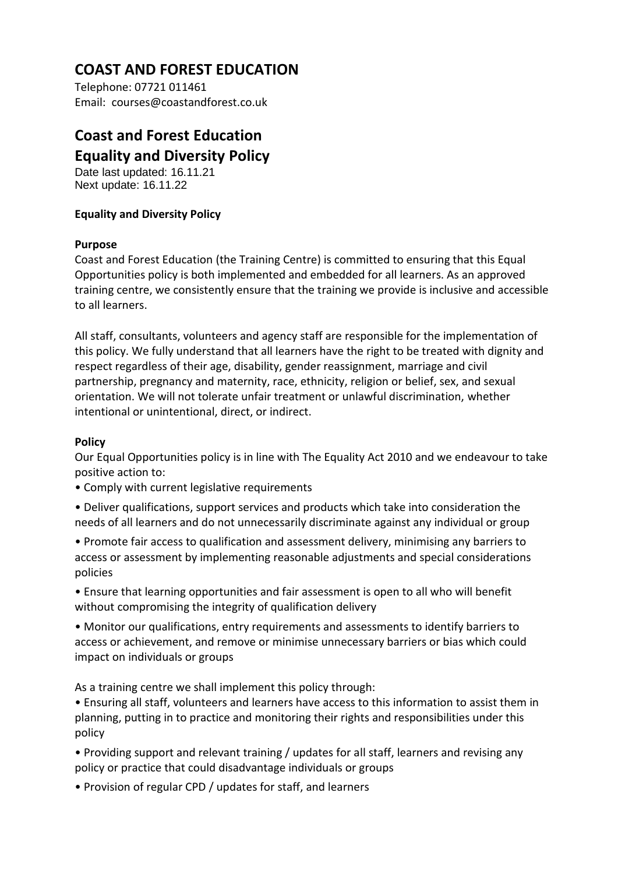# **COAST AND FOREST EDUCATION**

Telephone: 07721 011461 Email: courses@coastandforest.co.uk

## **Coast and Forest Education Equality and Diversity Policy**

Date last updated: 16.11.21 Next update: 16.11.22

### **Equality and Diversity Policy**

#### **Purpose**

Coast and Forest Education (the Training Centre) is committed to ensuring that this Equal Opportunities policy is both implemented and embedded for all learners. As an approved training centre, we consistently ensure that the training we provide is inclusive and accessible to all learners.

All staff, consultants, volunteers and agency staff are responsible for the implementation of this policy. We fully understand that all learners have the right to be treated with dignity and respect regardless of their age, disability, gender reassignment, marriage and civil partnership, pregnancy and maternity, race, ethnicity, religion or belief, sex, and sexual orientation. We will not tolerate unfair treatment or unlawful discrimination, whether intentional or unintentional, direct, or indirect.

#### **Policy**

Our Equal Opportunities policy is in line with The Equality Act 2010 and we endeavour to take positive action to:

- Comply with current legislative requirements
- Deliver qualifications, support services and products which take into consideration the needs of all learners and do not unnecessarily discriminate against any individual or group

• Promote fair access to qualification and assessment delivery, minimising any barriers to access or assessment by implementing reasonable adjustments and special considerations policies

• Ensure that learning opportunities and fair assessment is open to all who will benefit without compromising the integrity of qualification delivery

• Monitor our qualifications, entry requirements and assessments to identify barriers to access or achievement, and remove or minimise unnecessary barriers or bias which could impact on individuals or groups

As a training centre we shall implement this policy through:

• Ensuring all staff, volunteers and learners have access to this information to assist them in planning, putting in to practice and monitoring their rights and responsibilities under this policy

• Providing support and relevant training / updates for all staff, learners and revising any policy or practice that could disadvantage individuals or groups

• Provision of regular CPD / updates for staff, and learners